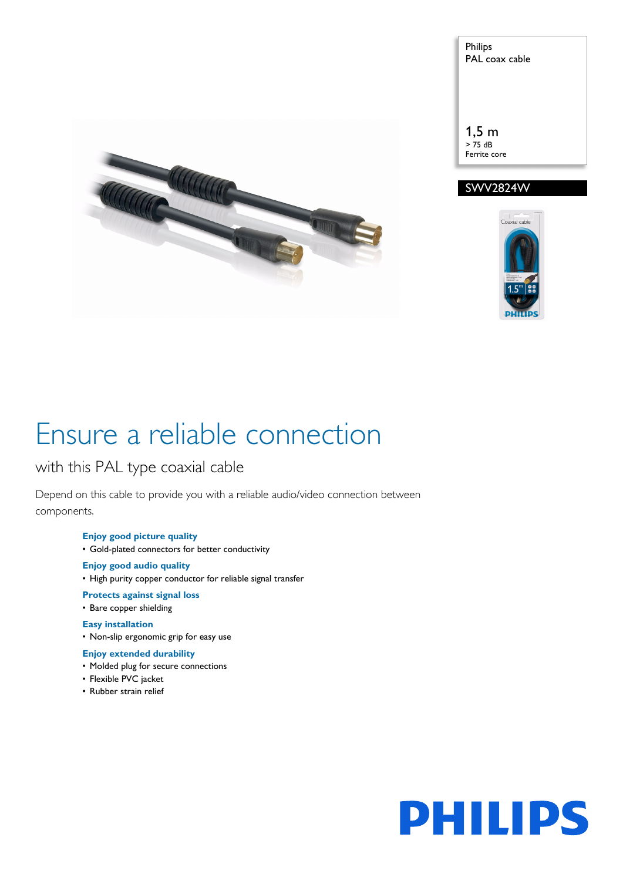

Philips PAL coax cable

1,5 m  $> 75$  dB Ferrite core





# Ensure a reliable connection

## with this PAL type coaxial cable

Depend on this cable to provide you with a reliable audio/video connection between components.

## **Enjoy good picture quality**

• Gold-plated connectors for better conductivity

## **Enjoy good audio quality**

• High purity copper conductor for reliable signal transfer

## **Protects against signal loss**

• Bare copper shielding

## **Easy installation**

• Non-slip ergonomic grip for easy use

## **Enjoy extended durability**

- Molded plug for secure connections
- Flexible PVC jacket
- Rubber strain relief